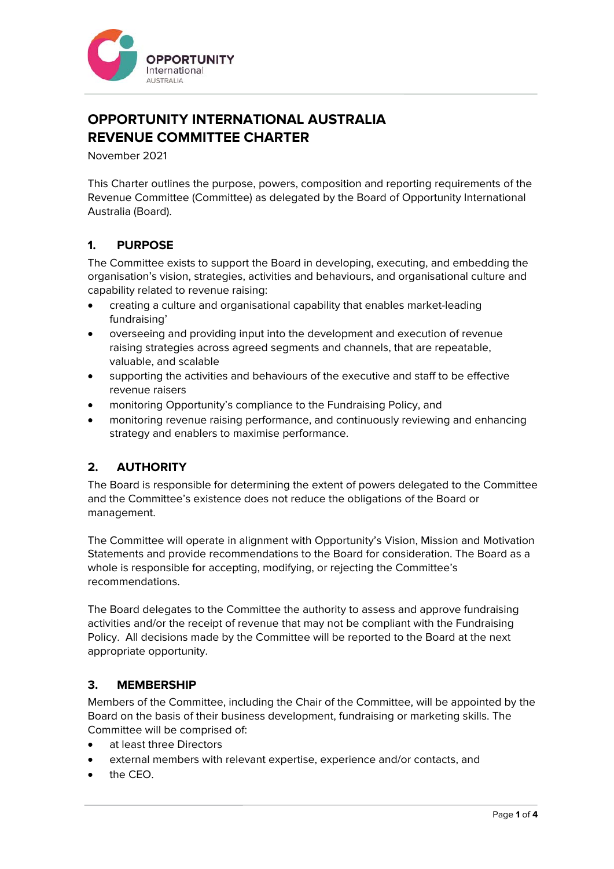

# **OPPORTUNITY INTERNATIONAL AUSTRALIA REVENUE COMMITTEE CHARTER**

November 2021

This Charter outlines the purpose, powers, composition and reporting requirements of the Revenue Committee (Committee) as delegated by the Board of Opportunity International Australia (Board).

# **1. PURPOSE**

The Committee exists to support the Board in developing, executing, and embedding the organisation's vision, strategies, activities and behaviours, and organisational culture and capability related to revenue raising:

- creating a culture and organisational capability that enables market-leading fundraising'
- overseeing and providing input into the development and execution of revenue raising strategies across agreed segments and channels, that are repeatable, valuable, and scalable
- supporting the activities and behaviours of the executive and staff to be effective revenue raisers
- monitoring Opportunity's compliance to the Fundraising Policy, and
- monitoring revenue raising performance, and continuously reviewing and enhancing strategy and enablers to maximise performance.

# **2. AUTHORITY**

The Board is responsible for determining the extent of powers delegated to the Committee and the Committee's existence does not reduce the obligations of the Board or management.

The Committee will operate in alignment with Opportunity's Vision, Mission and Motivation Statements and provide recommendations to the Board for consideration. The Board as a whole is responsible for accepting, modifying, or rejecting the Committee's recommendations.

The Board delegates to the Committee the authority to assess and approve fundraising activities and/or the receipt of revenue that may not be compliant with the Fundraising Policy. All decisions made by the Committee will be reported to the Board at the next appropriate opportunity.

# **3. MEMBERSHIP**

Members of the Committee, including the Chair of the Committee, will be appointed by the Board on the basis of their business development, fundraising or marketing skills. The Committee will be comprised of:

- at least three Directors
- external members with relevant expertise, experience and/or contacts, and
- the CEO.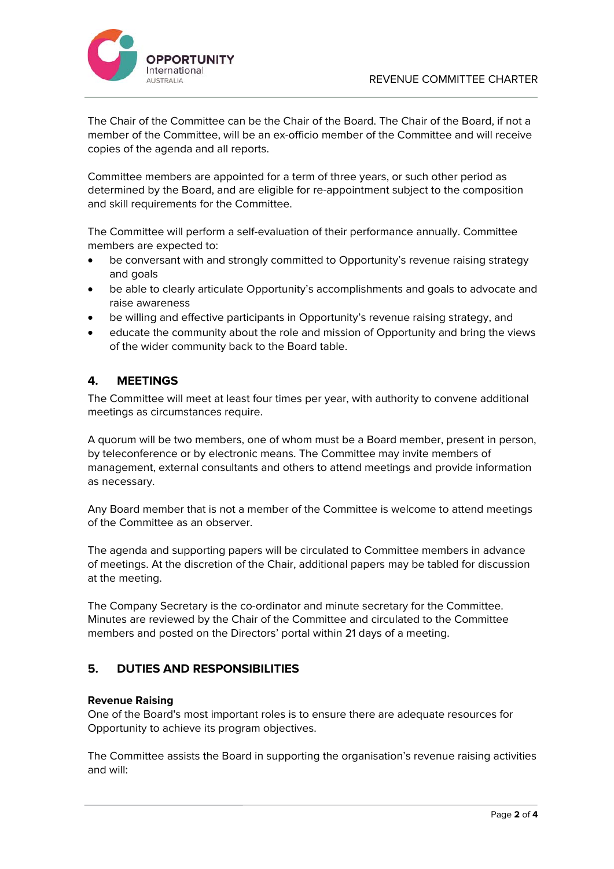

The Chair of the Committee can be the Chair of the Board. The Chair of the Board, if not a member of the Committee, will be an ex-officio member of the Committee and will receive copies of the agenda and all reports.

Committee members are appointed for a term of three years, or such other period as determined by the Board, and are eligible for re-appointment subject to the composition and skill requirements for the Committee.

The Committee will perform a self-evaluation of their performance annually. Committee members are expected to:

- be conversant with and strongly committed to Opportunity's revenue raising strategy and goals
- be able to clearly articulate Opportunity's accomplishments and goals to advocate and raise awareness
- be willing and effective participants in Opportunity's revenue raising strategy, and
- educate the community about the role and mission of Opportunity and bring the views of the wider community back to the Board table.

## **4. MEETINGS**

The Committee will meet at least four times per year, with authority to convene additional meetings as circumstances require.

A quorum will be two members, one of whom must be a Board member, present in person, by teleconference or by electronic means. The Committee may invite members of management, external consultants and others to attend meetings and provide information as necessary.

Any Board member that is not a member of the Committee is welcome to attend meetings of the Committee as an observer.

The agenda and supporting papers will be circulated to Committee members in advance of meetings. At the discretion of the Chair, additional papers may be tabled for discussion at the meeting.

The Company Secretary is the co-ordinator and minute secretary for the Committee. Minutes are reviewed by the Chair of the Committee and circulated to the Committee members and posted on the Directors' portal within 21 days of a meeting.

## **5. DUTIES AND RESPONSIBILITIES**

### **Revenue Raising**

One of the Board's most important roles is to ensure there are adequate resources for Opportunity to achieve its program objectives.

The Committee assists the Board in supporting the organisation's revenue raising activities and will: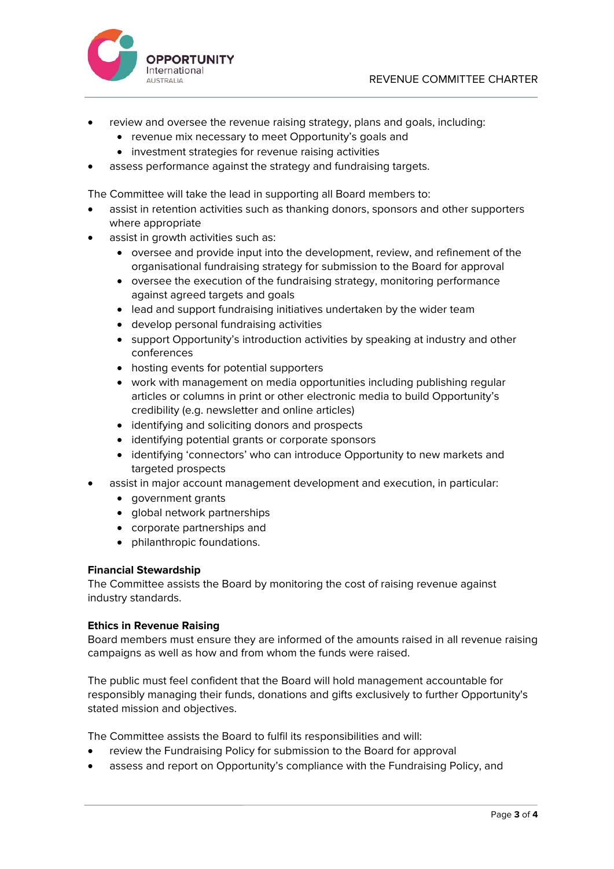

- review and oversee the revenue raising strategy, plans and goals, including:
	- revenue mix necessary to meet Opportunity's goals and
	- investment strategies for revenue raising activities
- assess performance against the strategy and fundraising targets.

The Committee will take the lead in supporting all Board members to:

- assist in retention activities such as thanking donors, sponsors and other supporters where appropriate
- assist in growth activities such as:
	- oversee and provide input into the development, review, and refinement of the organisational fundraising strategy for submission to the Board for approval
	- oversee the execution of the fundraising strategy, monitoring performance against agreed targets and goals
	- lead and support fundraising initiatives undertaken by the wider team
	- develop personal fundraising activities
	- support Opportunity's introduction activities by speaking at industry and other conferences
	- hosting events for potential supporters
	- work with management on media opportunities including publishing regular articles or columns in print or other electronic media to build Opportunity's credibility (e.g. newsletter and online articles)
	- identifying and soliciting donors and prospects
	- identifying potential grants or corporate sponsors
	- identifying 'connectors' who can introduce Opportunity to new markets and targeted prospects
- assist in major account management development and execution, in particular:
	- government grants
	- global network partnerships
	- corporate partnerships and
	- philanthropic foundations.

### **Financial Stewardship**

The Committee assists the Board by monitoring the cost of raising revenue against industry standards.

### **Ethics in Revenue Raising**

Board members must ensure they are informed of the amounts raised in all revenue raising campaigns as well as how and from whom the funds were raised.

The public must feel confident that the Board will hold management accountable for responsibly managing their funds, donations and gifts exclusively to further Opportunity's stated mission and objectives.

The Committee assists the Board to fulfil its responsibilities and will:

- review the Fundraising Policy for submission to the Board for approval
- assess and report on Opportunity's compliance with the Fundraising Policy, and